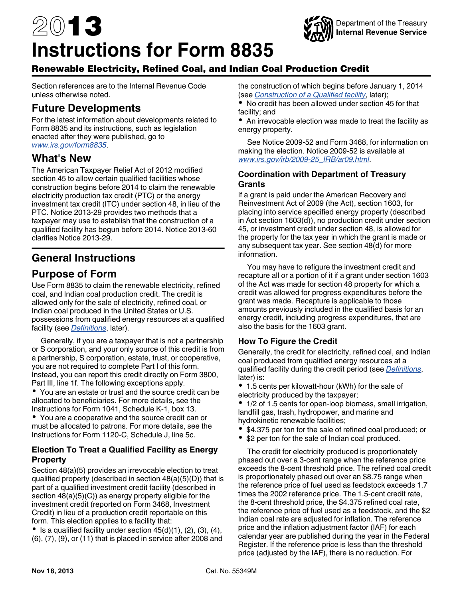# <span id="page-0-0"></span>2013 **Instructions for Form 8835**



# Renewable Electricity, Refined Coal, and Indian Coal Production Credit

Section references are to the Internal Revenue Code unless otherwise noted.

# **Future Developments**

For the latest information about developments related to Form 8835 and its instructions, such as legislation enacted after they were published, go to *[www.irs.gov/form8835](http://www.irs.gov/form8835)*.

# **What's New**

The American Taxpayer Relief Act of 2012 modified section 45 to allow certain qualified facilities whose construction begins before 2014 to claim the renewable electricity production tax credit (PTC) or the energy investment tax credit (ITC) under section 48, in lieu of the PTC. Notice 2013-29 provides two methods that a taxpayer may use to establish that the construction of a qualified facility has begun before 2014. Notice 2013-60 clarifies Notice 2013-29.

# **General Instructions**

# **Purpose of Form**

Use Form 8835 to claim the renewable electricity, refined coal, and Indian coal production credit. The credit is allowed only for the sale of electricity, refined coal, or Indian coal produced in the United States or U.S. possessions from qualified energy resources at a qualified facility (see *[Definitions](#page-1-0)*, later).

Generally, if you are a taxpayer that is not a partnership or S corporation, and your only source of this credit is from a partnership, S corporation, estate, trust, or cooperative, you are not required to complete Part I of this form. Instead, you can report this credit directly on Form 3800, Part III, line 1f. The following exceptions apply.

You are an estate or trust and the source credit can be allocated to beneficiaries. For more details, see the Instructions for Form 1041, Schedule K-1, box 13.

You are a cooperative and the source credit can or must be allocated to patrons. For more details, see the Instructions for Form 1120-C, Schedule J, line 5c.

## **Election To Treat a Qualified Facility as Energy Property**

Section 48(a)(5) provides an irrevocable election to treat qualified property (described in section 48(a)(5)(D)) that is part of a qualified investment credit facility (described in section 48(a)(5)(C)) as energy property eligible for the investment credit (reported on Form 3468, Investment Credit) in lieu of a production credit reportable on this form. This election applies to a facility that:

 $\bullet$  Is a qualified facility under section 45(d)(1), (2), (3), (4), (6), (7), (9), or (11) that is placed in service after 2008 and the construction of which begins before January 1, 2014 (see *[Construction of a Qualified facility](#page-1-0)*, later);

No credit has been allowed under section 45 for that facility; and

An irrevocable election was made to treat the facility as energy property.

See Notice 2009-52 and Form 3468, for information on making the election. Notice 2009-52 is available at *[www.irs.gov/irb/2009-25\\_IRB/ar09.html](http://www.irs.gov/irb/2009-25_IRB/ar09.html)*.

#### **Coordination with Department of Treasury Grants**

If a grant is paid under the American Recovery and Reinvestment Act of 2009 (the Act), section 1603, for placing into service specified energy property (described in Act section 1603(d)), no production credit under section 45, or investment credit under section 48, is allowed for the property for the tax year in which the grant is made or any subsequent tax year. See section 48(d) for more information.

You may have to refigure the investment credit and recapture all or a portion of it if a grant under section 1603 of the Act was made for section 48 property for which a credit was allowed for progress expenditures before the grant was made. Recapture is applicable to those amounts previously included in the qualified basis for an energy credit, including progress expenditures, that are also the basis for the 1603 grant.

## **How To Figure the Credit**

Generally, the credit for electricity, refined coal, and Indian coal produced from qualified energy resources at a qualified facility during the credit period (see *[Definitions](#page-1-0)*, later) is:

1.5 cents per kilowatt-hour (kWh) for the sale of electricity produced by the taxpayer;

1/2 of 1.5 cents for open-loop biomass, small irrigation, landfill gas, trash, hydropower, and marine and hydrokinetic renewable facilities;

- \$4.375 per ton for the sale of refined coal produced; or
- \$2 per ton for the sale of Indian coal produced.

The credit for electricity produced is proportionately phased out over a 3-cent range when the reference price exceeds the 8-cent threshold price. The refined coal credit is proportionately phased out over an \$8.75 range when the reference price of fuel used as feedstock exceeds 1.7 times the 2002 reference price. The 1.5-cent credit rate, the 8-cent threshold price, the \$4.375 refined coal rate, the reference price of fuel used as a feedstock, and the \$2 Indian coal rate are adjusted for inflation. The reference price and the inflation adjustment factor (IAF) for each calendar year are published during the year in the Federal Register. If the reference price is less than the threshold price (adjusted by the IAF), there is no reduction. For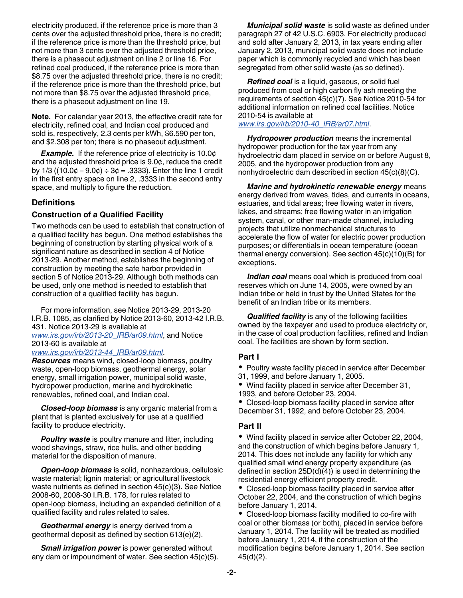<span id="page-1-0"></span>electricity produced, if the reference price is more than 3 cents over the adjusted threshold price, there is no credit; if the reference price is more than the threshold price, but not more than 3 cents over the adjusted threshold price, there is a phaseout adjustment on line 2 or line 16. For refined coal produced, if the reference price is more than \$8.75 over the adjusted threshold price, there is no credit; if the reference price is more than the threshold price, but not more than \$8.75 over the adjusted threshold price, there is a phaseout adjustment on line 19.

**Note.** For calendar year 2013, the effective credit rate for electricity, refined coal, and Indian coal produced and sold is, respectively, 2.3 cents per kWh, \$6.590 per ton, and \$2.308 per ton; there is no phaseout adjustment.

**Example.** If the reference price of electricity is 10.0¢ and the adjusted threshold price is 9.0¢, reduce the credit by  $1/3$  (( $10.0¢ - 9.0¢$ ) ÷  $3¢ = .3333$ ). Enter the line 1 credit in the first entry space on line 2, .3333 in the second entry space, and multiply to figure the reduction.

## **Definitions**

#### **Construction of a Qualified Facility**

Two methods can be used to establish that construction of a qualified facility has begun. One method establishes the beginning of construction by starting physical work of a significant nature as described in section 4 of Notice 2013-29. Another method, establishes the beginning of construction by meeting the safe harbor provided in section 5 of Notice 2013-29. Although both methods can be used, only one method is needed to establish that construction of a qualified facility has begun.

For more information, see Notice 2013-29, 2013-20 I.R.B. 1085, as clarified by Notice 2013-60, 2013-42 I.R.B. 431. Notice 2013-29 is available at *[www.irs.gov/irb/2013-20\\_IRB/ar09.html](http://www.irs.gov/irb/2013-20_IRB/ar09.html)*, and Notice 2013-60 is available at

*[www.irs.gov/irb/2013-44\\_IRB/ar09.html](http://www.irs.gov/irb/2013-44_IRB/ar09.html)*.

*Resources* means wind, closed-loop biomass, poultry waste, open-loop biomass, geothermal energy, solar energy, small irrigation power, municipal solid waste, hydropower production, marine and hydrokinetic renewables, refined coal, and Indian coal.

*Closed-loop biomass* is any organic material from a plant that is planted exclusively for use at a qualified facility to produce electricity.

*Poultry waste* is poultry manure and litter, including wood shavings, straw, rice hulls, and other bedding material for the disposition of manure.

*Open-loop biomass* is solid, nonhazardous, cellulosic waste material; lignin material; or agricultural livestock waste nutrients as defined in section 45(c)(3). See Notice 2008-60, 2008-30 I.R.B. 178, for rules related to open-loop biomass, including an expanded definition of a qualified facility and rules related to sales.

*Geothermal energy* is energy derived from a geothermal deposit as defined by section 613(e)(2).

*Small irrigation power* is power generated without any dam or impoundment of water. See section 45(c)(5).

*Municipal solid waste* is solid waste as defined under paragraph 27 of 42 U.S.C. 6903. For electricity produced and sold after January 2, 2013, in tax years ending after January 2, 2013, municipal solid waste does not include paper which is commonly recycled and which has been segregated from other solid waste (as so defined).

*Refined coal* is a liquid, gaseous, or solid fuel produced from coal or high carbon fly ash meeting the requirements of section 45(c)(7). See Notice 2010-54 for additional information on refined coal facilities. Notice 2010-54 is available at *[www.irs.gov/irb/2010-40\\_IRB/ar07.html](http://www.irs.gov/irb/2010-40_IRB/ar07.html)*.

*Hydropower production* means the incremental hydropower production for the tax year from any hydroelectric dam placed in service on or before August 8, 2005, and the hydropower production from any nonhydroelectric dam described in section 45(c)(8)(C).

*Marine and hydrokinetic renewable energy* means energy derived from waves, tides, and currents in oceans, estuaries, and tidal areas; free flowing water in rivers, lakes, and streams; free flowing water in an irrigation system, canal, or other man-made channel, including projects that utilize nonmechanical structures to accelerate the flow of water for electric power production purposes; or differentials in ocean temperature (ocean thermal energy conversion). See section 45(c)(10)(B) for exceptions.

*Indian coal* means coal which is produced from coal reserves which on June 14, 2005, were owned by an Indian tribe or held in trust by the United States for the benefit of an Indian tribe or its members.

*Qualified facility* is any of the following facilities owned by the taxpayer and used to produce electricity or, in the case of coal production facilities, refined and Indian coal. The facilities are shown by form section.

## **Part I**

• Poultry waste facility placed in service after December

31, 1999, and before January 1, 2005.

Wind facility placed in service after December 31, 1993, and before October 23, 2004.

Closed-loop biomass facility placed in service after December 31, 1992, and before October 23, 2004.

## **Part II**

Wind facility placed in service after October 22, 2004, and the construction of which begins before January 1, 2014. This does not include any facility for which any qualified small wind energy property expenditure (as defined in section 25D(d)(4)) is used in determining the residential energy efficient property credit.

Closed-loop biomass facility placed in service after October 22, 2004, and the construction of which begins before January 1, 2014.

Closed-loop biomass facility modified to co-fire with coal or other biomass (or both), placed in service before January 1, 2014. The facility will be treated as modified before January 1, 2014, if the construction of the modification begins before January 1, 2014. See section 45(d)(2).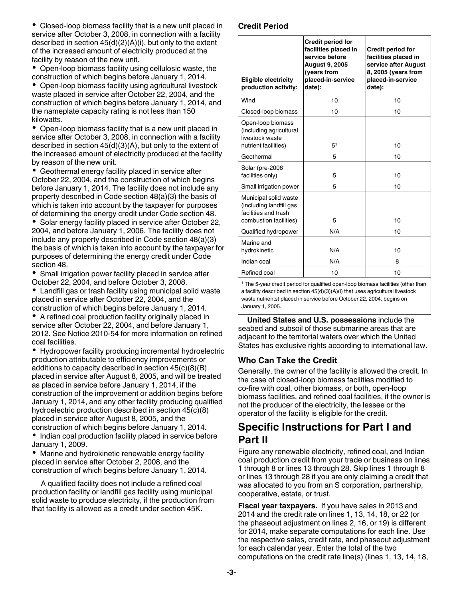Closed-loop biomass facility that is a new unit placed in service after October 3, 2008, in connection with a facility described in section 45(d)(2)(A)(i), but only to the extent of the increased amount of electricity produced at the facility by reason of the new unit.

Open-loop biomass facility using cellulosic waste, the construction of which begins before January 1, 2014.

• Open-loop biomass facility using agricultural livestock waste placed in service after October 22, 2004, and the construction of which begins before January 1, 2014, and the nameplate capacity rating is not less than 150 kilowatts.

Open-loop biomass facility that is a new unit placed in service after October 3, 2008, in connection with a facility described in section 45(d)(3)(A), but only to the extent of the increased amount of electricity produced at the facility by reason of the new unit.

Geothermal energy facility placed in service after October 22, 2004, and the construction of which begins before January 1, 2014. The facility does not include any property described in Code section 48(a)(3) the basis of which is taken into account by the taxpayer for purposes of determining the energy credit under Code section 48.

• Solar energy facility placed in service after October 22, 2004, and before January 1, 2006. The facility does not include any property described in Code section 48(a)(3) the basis of which is taken into account by the taxpayer for purposes of determining the energy credit under Code section 48.

Small irrigation power facility placed in service after October 22, 2004, and before October 3, 2008.

Landfill gas or trash facility using municipal solid waste placed in service after October 22, 2004, and the construction of which begins before January 1, 2014.

• A refined coal production facility originally placed in service after October 22, 2004, and before January 1, 2012. See Notice 2010-54 for more information on refined coal facilities.

Hydropower facility producing incremental hydroelectric production attributable to efficiency improvements or additions to capacity described in section 45(c)(8)(B) placed in service after August 8, 2005, and will be treated as placed in service before January 1, 2014, if the construction of the improvement or addition begins before January 1, 2014, and any other facility producing qualified hydroelectric production described in section 45(c)(8) placed in service after August 8, 2005, and the construction of which begins before January 1, 2014.

• Indian coal production facility placed in service before January 1, 2009.

Marine and hydrokinetic renewable energy facility placed in service after October 2, 2008, and the construction of which begins before January 1, 2014.

A qualified facility does not include a refined coal production facility or landfill gas facility using municipal solid waste to produce electricity, if the production from that facility is allowed as a credit under section 45K.

#### **Credit Period**

| <b>Eligible electricity</b><br>production activity:                                                | <b>Credit period for</b><br>facilities placed in<br>service before<br><b>August 9, 2005</b><br>(years from<br>placed-in-service<br>date): | <b>Credit period for</b><br>facilities placed in<br>service after August<br>8, 2005 (years from<br>placed-in-service<br>date): |
|----------------------------------------------------------------------------------------------------|-------------------------------------------------------------------------------------------------------------------------------------------|--------------------------------------------------------------------------------------------------------------------------------|
| Wind                                                                                               | 10                                                                                                                                        | 10                                                                                                                             |
| Closed-loop biomass                                                                                | 10                                                                                                                                        | 10                                                                                                                             |
| Open-loop biomass<br>(including agricultural<br>livestock waste<br>nutrient facilities)            | 5 <sup>1</sup>                                                                                                                            | 10                                                                                                                             |
| Geothermal                                                                                         | 5                                                                                                                                         | 10                                                                                                                             |
| Solar (pre-2006<br>facilities only)                                                                | 5                                                                                                                                         | 10                                                                                                                             |
| Small irrigation power                                                                             | 5                                                                                                                                         | 10                                                                                                                             |
| Municipal solid waste<br>(including landfill gas<br>facilities and trash<br>combustion facilities) | 5                                                                                                                                         | 10                                                                                                                             |
| Qualified hydropower                                                                               | N/A                                                                                                                                       | 10                                                                                                                             |
| Marine and<br>hydrokinetic                                                                         | N/A                                                                                                                                       | 10                                                                                                                             |
| Indian coal                                                                                        | N/A                                                                                                                                       | 8                                                                                                                              |
| Refined coal                                                                                       | 10                                                                                                                                        | 10                                                                                                                             |

<sup>1</sup> The 5-year credit period for qualified open-loop biomass facilities (other than a facility described in section 45(d)(3)(A)(i) that uses agricultural livestock waste nutrients) placed in service before October 22, 2004, begins on January 1, 2005.

**United States and U.S. possessions** include the seabed and subsoil of those submarine areas that are adjacent to the territorial waters over which the United States has exclusive rights according to international law.

## **Who Can Take the Credit**

Generally, the owner of the facility is allowed the credit. In the case of closed-loop biomass facilities modified to co-fire with coal, other biomass, or both, open-loop biomass facilities, and refined coal facilities, if the owner is not the producer of the electricity, the lessee or the operator of the facility is eligible for the credit.

# **Specific Instructions for Part I and Part II**

Figure any renewable electricity, refined coal, and Indian coal production credit from your trade or business on lines 1 through 8 or lines 13 through 28. Skip lines 1 through 8 or lines 13 through 28 if you are only claiming a credit that was allocated to you from an S corporation, partnership, cooperative, estate, or trust.

**Fiscal year taxpayers.** If you have sales in 2013 and 2014 and the credit rate on lines 1, 13, 14, 18, or 22 (or the phaseout adjustment on lines 2, 16, or 19) is different for 2014, make separate computations for each line. Use the respective sales, credit rate, and phaseout adjustment for each calendar year. Enter the total of the two computations on the credit rate line(s) (lines 1, 13, 14, 18,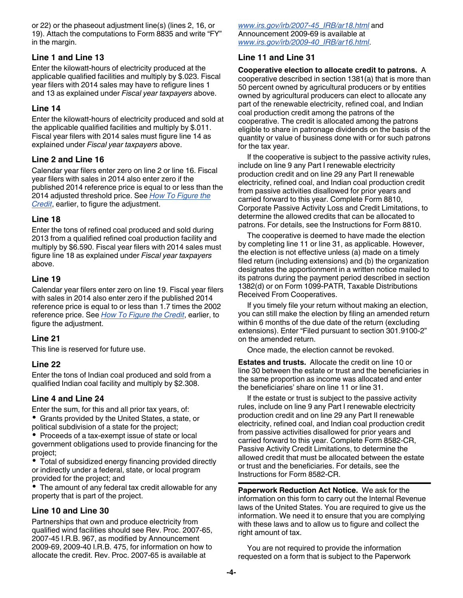or 22) or the phaseout adjustment line(s) (lines 2, 16, or 19). Attach the computations to Form 8835 and write "FY" in the margin.

## **Line 1 and Line 13**

Enter the kilowatt-hours of electricity produced at the applicable qualified facilities and multiply by \$.023. Fiscal year filers with 2014 sales may have to refigure lines 1 and 13 as explained under *Fiscal year taxpayers* above.

#### **Line 14**

Enter the kilowatt-hours of electricity produced and sold at the applicable qualified facilities and multiply by \$.011. Fiscal year filers with 2014 sales must figure line 14 as explained under *Fiscal year taxpayers* above.

#### **Line 2 and Line 16**

Calendar year filers enter zero on line 2 or line 16. Fiscal year filers with sales in 2014 also enter zero if the published 2014 reference price is equal to or less than the 2014 adjusted threshold price. See *[How To Figure the](#page-0-0)  [Credit](#page-0-0)*, earlier, to figure the adjustment.

#### **Line 18**

Enter the tons of refined coal produced and sold during 2013 from a qualified refined coal production facility and multiply by \$6.590. Fiscal year filers with 2014 sales must figure line 18 as explained under *Fiscal year taxpayers*  above.

#### **Line 19**

Calendar year filers enter zero on line 19. Fiscal year filers with sales in 2014 also enter zero if the published 2014 reference price is equal to or less than 1.7 times the 2002 reference price. See *[How To Figure the Credit](#page-0-0)*, earlier, to figure the adjustment.

#### **Line 21**

This line is reserved for future use.

#### **Line 22**

Enter the tons of Indian coal produced and sold from a qualified Indian coal facility and multiply by \$2.308.

#### **Line 4 and Line 24**

Enter the sum, for this and all prior tax years, of: Grants provided by the United States, a state, or

political subdivision of a state for the project; • Proceeds of a tax-exempt issue of state or local government obligations used to provide financing for the project;

Total of subsidized energy financing provided directly or indirectly under a federal, state, or local program provided for the project; and

The amount of any federal tax credit allowable for any property that is part of the project.

## **Line 10 and Line 30**

Partnerships that own and produce electricity from qualified wind facilities should see Rev. Proc. 2007-65, 2007-45 I.R.B. 967, as modified by Announcement 2009-69, 2009-40 I.R.B. 475, for information on how to allocate the credit. Rev. Proc. 2007-65 is available at

*[www.irs.gov/irb/2007-45\\_IRB/ar18.html](http://www.irs.gov/irb/2007-45_IRB/ar18.html)* and Announcement 2009-69 is available at *[www.irs.gov/irb/2009-40\\_IRB/ar16.html](http://www.irs.gov/irb/2009-40_IRB/ar16.html)*.

#### **Line 11 and Line 31**

**Cooperative election to allocate credit to patrons.** A cooperative described in section 1381(a) that is more than 50 percent owned by agricultural producers or by entities owned by agricultural producers can elect to allocate any part of the renewable electricity, refined coal, and Indian coal production credit among the patrons of the cooperative. The credit is allocated among the patrons eligible to share in patronage dividends on the basis of the quantity or value of business done with or for such patrons for the tax year.

If the cooperative is subject to the passive activity rules, include on line 9 any Part I renewable electricity production credit and on line 29 any Part II renewable electricity, refined coal, and Indian coal production credit from passive activities disallowed for prior years and carried forward to this year. Complete Form 8810, Corporate Passive Activity Loss and Credit Limitations, to determine the allowed credits that can be allocated to patrons. For details, see the Instructions for Form 8810.

The cooperative is deemed to have made the election by completing line 11 or line 31, as applicable. However, the election is not effective unless (a) made on a timely filed return (including extensions) and (b) the organization designates the apportionment in a written notice mailed to its patrons during the payment period described in section 1382(d) or on Form 1099-PATR, Taxable Distributions Received From Cooperatives.

If you timely file your return without making an election, you can still make the election by filing an amended return within 6 months of the due date of the return (excluding extensions). Enter "Filed pursuant to section 301.9100-2" on the amended return.

Once made, the election cannot be revoked.

**Estates and trusts.** Allocate the credit on line 10 or line 30 between the estate or trust and the beneficiaries in the same proportion as income was allocated and enter the beneficiaries' share on line 11 or line 31.

If the estate or trust is subject to the passive activity rules, include on line 9 any Part I renewable electricity production credit and on line 29 any Part II renewable electricity, refined coal, and Indian coal production credit from passive activities disallowed for prior years and carried forward to this year. Complete Form 8582-CR, Passive Activity Credit Limitations, to determine the allowed credit that must be allocated between the estate or trust and the beneficiaries. For details, see the Instructions for Form 8582-CR.

**Paperwork Reduction Act Notice.** We ask for the information on this form to carry out the Internal Revenue laws of the United States. You are required to give us the information. We need it to ensure that you are complying with these laws and to allow us to figure and collect the right amount of tax.

You are not required to provide the information requested on a form that is subject to the Paperwork